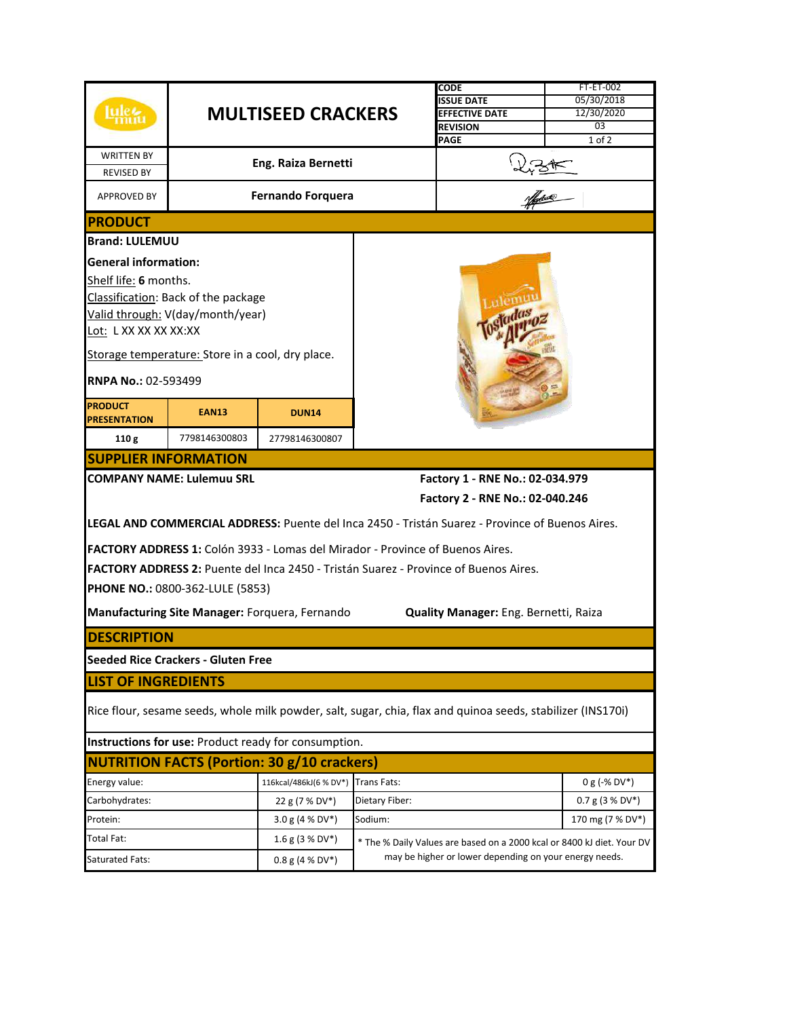| <b>WRITTEN BY</b><br><b>REVISED BY</b>                                                                                                                   |                                                                             | <b>MULTISEED CRACKERS</b><br><b>Eng. Raiza Bernetti</b> |                | CODE<br><b>ISSUE DATE</b><br><b>EFFECTIVE DATE</b><br><b>REVISION</b><br>PAGE                          | <b>FT-ET-002</b><br>05/30/2018<br>12/30/2020<br>03<br>$1$ of $2$ |  |  |  |
|----------------------------------------------------------------------------------------------------------------------------------------------------------|-----------------------------------------------------------------------------|---------------------------------------------------------|----------------|--------------------------------------------------------------------------------------------------------|------------------------------------------------------------------|--|--|--|
| <b>APPROVED BY</b>                                                                                                                                       |                                                                             | <b>Fernando Forquera</b>                                |                |                                                                                                        |                                                                  |  |  |  |
| <b>IPRODUCT</b>                                                                                                                                          |                                                                             |                                                         |                |                                                                                                        |                                                                  |  |  |  |
| <b>Brand: LULEMUU</b>                                                                                                                                    |                                                                             |                                                         |                |                                                                                                        |                                                                  |  |  |  |
| <b>General information:</b><br>Shelf life: 6 months.<br>Classification: Back of the package<br>Valid through: V(day/month/year)<br>Lot: L XX XX XX XX:XX |                                                                             |                                                         |                |                                                                                                        |                                                                  |  |  |  |
| Storage temperature: Store in a cool, dry place.<br><b>RNPA No.: 02-593499</b>                                                                           |                                                                             |                                                         |                |                                                                                                        |                                                                  |  |  |  |
| <b>PRODUCT</b><br><b>PRESENTATION</b>                                                                                                                    | <b>EAN13</b>                                                                | <b>DUN14</b>                                            |                |                                                                                                        |                                                                  |  |  |  |
| 110g                                                                                                                                                     | 7798146300803                                                               | 27798146300807                                          |                |                                                                                                        |                                                                  |  |  |  |
| <b>SUPPLIER INFORMATION</b>                                                                                                                              |                                                                             |                                                         |                |                                                                                                        |                                                                  |  |  |  |
|                                                                                                                                                          | <b>COMPANY NAME: Lulemuu SRL</b>                                            |                                                         |                | Factory 1 - RNE No.: 02-034.979                                                                        |                                                                  |  |  |  |
|                                                                                                                                                          |                                                                             |                                                         |                | Factory 2 - RNE No.: 02-040.246                                                                        |                                                                  |  |  |  |
|                                                                                                                                                          |                                                                             |                                                         |                | <b>LEGAL AND COMMERCIAL ADDRESS:</b> Puente del Inca 2450 - Tristán Suarez - Province of Buenos Aires. |                                                                  |  |  |  |
| <b>FACTORY ADDRESS 1:</b> Colón 3933 - Lomas del Mirador - Province of Buenos Aires.                                                                     |                                                                             |                                                         |                |                                                                                                        |                                                                  |  |  |  |
| FACTORY ADDRESS 2: Puente del Inca 2450 - Tristán Suarez - Province of Buenos Aires.                                                                     |                                                                             |                                                         |                |                                                                                                        |                                                                  |  |  |  |
|                                                                                                                                                          | PHONE NO.: 0800-362-LULE (5853)                                             |                                                         |                |                                                                                                        |                                                                  |  |  |  |
| Manufacturing Site Manager: Forquera, Fernando<br>Quality Manager: Eng. Bernetti, Raiza                                                                  |                                                                             |                                                         |                |                                                                                                        |                                                                  |  |  |  |
| <b>IDESCRIPTION</b>                                                                                                                                      |                                                                             |                                                         |                |                                                                                                        |                                                                  |  |  |  |
|                                                                                                                                                          | Seeded Rice Crackers - Gluten Free                                          |                                                         |                |                                                                                                        |                                                                  |  |  |  |
| <b>LIST OF INGREDIENTS</b>                                                                                                                               |                                                                             |                                                         |                |                                                                                                        |                                                                  |  |  |  |
| Rice flour, sesame seeds, whole milk powder, salt, sugar, chia, flax and quinoa seeds, stabilizer (INS170i)                                              |                                                                             |                                                         |                |                                                                                                        |                                                                  |  |  |  |
| Instructions for use: Product ready for consumption.                                                                                                     |                                                                             |                                                         |                |                                                                                                        |                                                                  |  |  |  |
| <b>NUTRITION FACTS (Portion: 30 g/10 crackers)</b>                                                                                                       |                                                                             |                                                         |                |                                                                                                        |                                                                  |  |  |  |
| Energy value:                                                                                                                                            |                                                                             | 116kcal/486kJ(6 % DV*) Trans Fats:                      |                |                                                                                                        | $0 g (-% DV*)$                                                   |  |  |  |
| Carbohydrates:                                                                                                                                           |                                                                             | 22 g (7 % DV*)                                          | Dietary Fiber: |                                                                                                        | $0.7 g (3 % DV*)$                                                |  |  |  |
| Protein:                                                                                                                                                 |                                                                             | 3.0 g (4 % DV*)                                         | Sodium:        |                                                                                                        | 170 mg (7 % DV*)                                                 |  |  |  |
| Total Fat:                                                                                                                                               |                                                                             | 1.6 g (3 % DV*)                                         |                | * The % Daily Values are based on a 2000 kcal or 8400 kJ diet. Your DV                                 |                                                                  |  |  |  |
| Saturated Fats:                                                                                                                                          | may be higher or lower depending on your energy needs.<br>$0.8$ g (4 % DV*) |                                                         |                |                                                                                                        |                                                                  |  |  |  |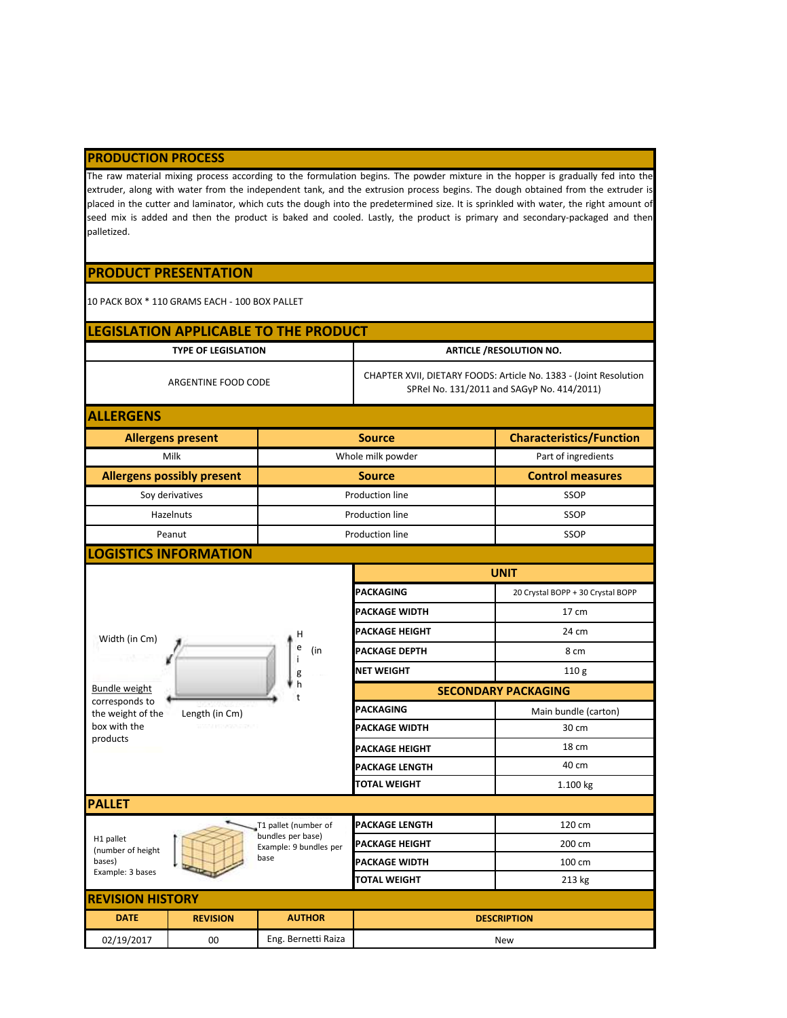## **PRODUCTION PROCESS**

The raw material mixing process according to the formulation begins. The powder mixture in the hopper is gradually fed into the extruder, along with water from the independent tank, and the extrusion process begins. The dough obtained from the extruder is placed in the cutter and laminator, which cuts the dough into the predetermined size. It is sprinkled with water, the right amount of seed mix is added and then the product is baked and cooled. Lastly, the product is primary and secondary-packaged and then palletized.

## **PRODUCT PRESENTATION**

10 PACK BOX \* 110 GRAMS EACH - 100 BOX PALLET

|                                     |                                   | LEGISLATION APPLICABLE TO THE PRODUCT       |                                                                                                                 |                                   |  |  |
|-------------------------------------|-----------------------------------|---------------------------------------------|-----------------------------------------------------------------------------------------------------------------|-----------------------------------|--|--|
|                                     | <b>TYPE OF LEGISLATION</b>        |                                             | <b>ARTICLE /RESOLUTION NO.</b>                                                                                  |                                   |  |  |
|                                     | ARGENTINE FOOD CODE               |                                             | CHAPTER XVII, DIETARY FOODS: Article No. 1383 - (Joint Resolution<br>SPRel No. 131/2011 and SAGyP No. 414/2011) |                                   |  |  |
| <b>ALLERGENS</b>                    |                                   |                                             |                                                                                                                 |                                   |  |  |
|                                     | <b>Allergens present</b>          |                                             | <b>Source</b>                                                                                                   | <b>Characteristics/Function</b>   |  |  |
|                                     | Milk                              | Whole milk powder                           |                                                                                                                 | Part of ingredients               |  |  |
|                                     | <b>Allergens possibly present</b> |                                             | <b>Source</b>                                                                                                   | <b>Control measures</b>           |  |  |
|                                     | Soy derivatives                   |                                             | Production line                                                                                                 | SSOP                              |  |  |
|                                     | Hazelnuts                         |                                             | Production line                                                                                                 | SSOP                              |  |  |
|                                     | Peanut                            |                                             | <b>Production line</b>                                                                                          | SSOP                              |  |  |
| <b>LOGISTICS INFORMATION</b>        |                                   |                                             |                                                                                                                 |                                   |  |  |
|                                     |                                   |                                             | <b>UNIT</b>                                                                                                     |                                   |  |  |
|                                     |                                   |                                             | <b>PACKAGING</b>                                                                                                | 20 Crystal BOPP + 30 Crystal BOPP |  |  |
|                                     |                                   |                                             | <b>PACKAGE WIDTH</b>                                                                                            | 17 cm                             |  |  |
| Width (in Cm)                       |                                   | н                                           | <b>PACKAGE HEIGHT</b>                                                                                           | 24 cm                             |  |  |
|                                     |                                   | e<br>(in                                    | <b>PACKAGE DEPTH</b>                                                                                            | 8 cm                              |  |  |
|                                     |                                   | Ť<br>g                                      | <b>NET WEIGHT</b>                                                                                               | 110 <sub>g</sub>                  |  |  |
| <b>Bundle weight</b>                |                                   | h                                           | <b>SECONDARY PACKAGING</b>                                                                                      |                                   |  |  |
| corresponds to<br>the weight of the | Length (in Cm)                    |                                             | PACKAGING                                                                                                       | Main bundle (carton)              |  |  |
| box with the                        |                                   |                                             | <b>PACKAGE WIDTH</b>                                                                                            | 30 cm                             |  |  |
| products                            |                                   |                                             | <b>PACKAGE HEIGHT</b>                                                                                           | 18 cm                             |  |  |
|                                     |                                   |                                             | <b>PACKAGE LENGTH</b>                                                                                           | 40 cm                             |  |  |
|                                     |                                   |                                             | <b>TOTAL WEIGHT</b>                                                                                             | 1.100 kg                          |  |  |
| <b>PALLET</b>                       |                                   |                                             |                                                                                                                 |                                   |  |  |
|                                     |                                   | T1 pallet (number of                        | <b>PACKAGE LENGTH</b>                                                                                           | 120 cm                            |  |  |
| H1 pallet<br>(number of height      |                                   | bundles per base)<br>Example: 9 bundles per | <b>PACKAGE HEIGHT</b>                                                                                           | 200 cm                            |  |  |
| bases)                              |                                   | base                                        | <b>PACKAGE WIDTH</b>                                                                                            | 100 cm                            |  |  |
| Example: 3 bases                    |                                   |                                             | TOTAL WEIGHT                                                                                                    | 213 kg                            |  |  |
| <b>REVISION HISTORY</b>             |                                   |                                             |                                                                                                                 |                                   |  |  |
| <b>DATE</b>                         | <b>REVISION</b>                   | <b>AUTHOR</b>                               |                                                                                                                 | <b>DESCRIPTION</b>                |  |  |
| 02/19/2017                          | $00\,$                            | Eng. Bernetti Raiza                         | <b>New</b>                                                                                                      |                                   |  |  |